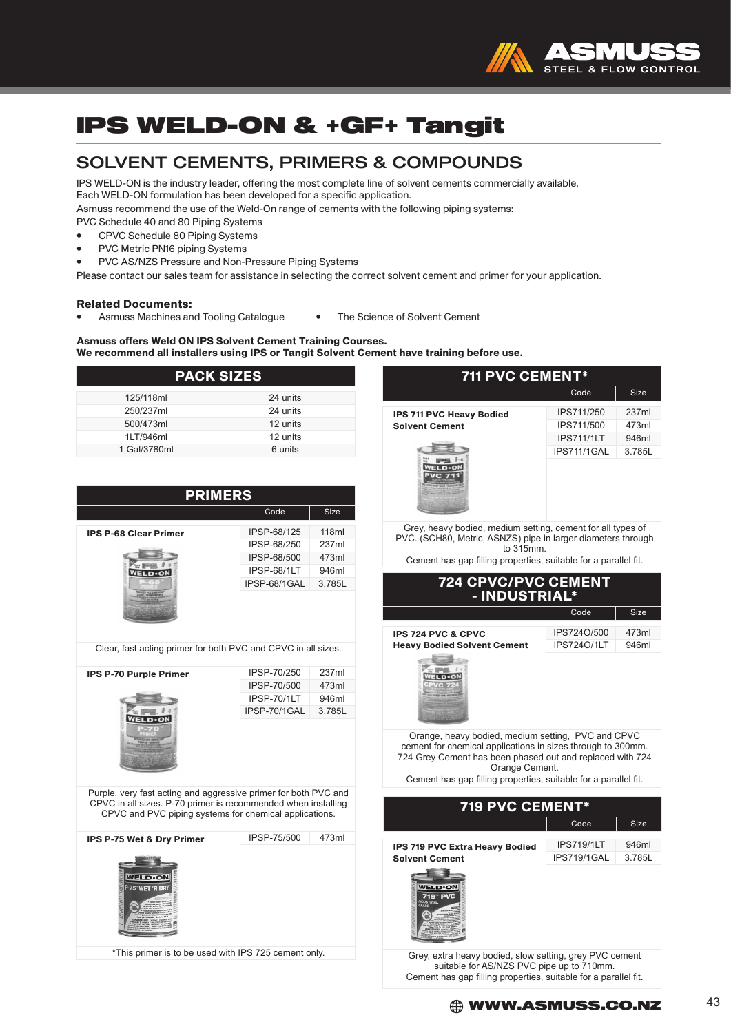

### IPS WELD-ON & +GF+ Tangit

### SOLVENT CEMENTS, PRIMERS & COMPOUNDS

IPS WELD-ON is the industry leader, offering the most complete line of solvent cements commercially available. Each WELD-ON formulation has been developed for a specific application.

Asmuss recommend the use of the Weld-On range of cements with the following piping systems:

- PVC Schedule 40 and 80 Piping Systems
- CPVC Schedule 80 Piping Systems
- PVC Metric PN16 piping Systems
- PVC AS/NZS Pressure and Non-Pressure Piping Systems

Please contact our sales team for assistance in selecting the correct solvent cement and primer for your application.

#### Related Documents:

• Asmuss Machines and Tooling Catalogue • The Science of Solvent Cement

#### Asmuss offers Weld ON IPS Solvent Cement Training Courses.

We recommend all installers using IPS or Tangit Solvent Cement have training before use.

| <b>PACK SIZES</b> |          |  |
|-------------------|----------|--|
| 125/118ml         | 24 units |  |
| 250/237ml         | 24 units |  |
| 500/473ml         | 12 units |  |
| 1LT/946ml         | 12 units |  |
| 1 Gal/3780ml      | 6 units  |  |

| <b>PRIMERS</b>                                                                                                                                                                             |                            |                |
|--------------------------------------------------------------------------------------------------------------------------------------------------------------------------------------------|----------------------------|----------------|
|                                                                                                                                                                                            | Code                       | Size           |
| <b>IPS P-68 Clear Primer</b>                                                                                                                                                               | IPSP-68/125<br>IPSP-68/250 | 118ml<br>237ml |
|                                                                                                                                                                                            | IPSP-68/500                | 473ml          |
| <b>WELD</b> .ON                                                                                                                                                                            | IPSP-68/1LT                | 946ml          |
|                                                                                                                                                                                            | IPSP-68/1GAL               | 3.785L         |
|                                                                                                                                                                                            |                            |                |
| Clear, fast acting primer for both PVC and CPVC in all sizes.                                                                                                                              |                            |                |
| <b>IPS P-70 Purple Primer</b>                                                                                                                                                              | IPSP-70/250                | 237ml          |
|                                                                                                                                                                                            | IPSP-70/500                | 473ml          |
|                                                                                                                                                                                            | IPSP-70/1LT                | 946ml          |
| <b>VELD</b> .ON                                                                                                                                                                            | IPSP-70/1GAL               | 3.785L         |
| Purple, very fast acting and aggressive primer for both PVC and<br>CPVC in all sizes. P-70 primer is recommended when installing<br>CPVC and PVC piping systems for chemical applications. |                            |                |
| IPS P-75 Wet & Dry Primer                                                                                                                                                                  | IPSP-75/500                | 473ml          |
| <b>WELDON</b><br>P-75" WET 'R DR<br>212111322                                                                                                                                              |                            |                |
| *This primer is to be used with IPS 725 cement only.                                                                                                                                       |                            |                |

| 711 PVC CEMENT*                                                                                                                                                                                                                                                     |                                   |                |
|---------------------------------------------------------------------------------------------------------------------------------------------------------------------------------------------------------------------------------------------------------------------|-----------------------------------|----------------|
|                                                                                                                                                                                                                                                                     | Code                              | <b>Size</b>    |
| <b>IPS 711 PVC Heavy Bodied</b>                                                                                                                                                                                                                                     | IPS711/250                        | 237ml          |
| <b>Solvent Cement</b>                                                                                                                                                                                                                                               | IPS711/500                        | 473ml          |
|                                                                                                                                                                                                                                                                     | <b>IPS711/1LT</b>                 | 946ml          |
| $\theta$<br>ps<br><b>WELD</b> .ON                                                                                                                                                                                                                                   | IPS711/1GAL                       | 3.785L         |
| Grey, heavy bodied, medium setting, cement for all types of<br>PVC. (SCH80, Metric, ASNZS) pipe in larger diameters through<br>to 315mm.<br>Cement has gap filling properties, suitable for a parallel fit.                                                         |                                   |                |
|                                                                                                                                                                                                                                                                     |                                   |                |
| <b>724 CPVC/PVC CEMENT<br/>FINDUSTRIAL*</b>                                                                                                                                                                                                                         |                                   |                |
|                                                                                                                                                                                                                                                                     | Code                              | <b>Size</b>    |
| <b>IPS 724 PVC &amp; CPVC</b><br><b>Heavy Bodied Solvent Cement</b><br>$\cdot$ imes.<br><b>WELD</b> .ON<br>$10 - 70$                                                                                                                                                | IPS724O/500<br><b>IPS724O/1LT</b> | 473ml<br>946ml |
| Orange, heavy bodied, medium setting, PVC and CPVC<br>cement for chemical applications in sizes through to 300mm.<br>724 Grey Cement has been phased out and replaced with 724<br>Orange Cement.<br>Cement has gap filling properties, suitable for a parallel fit. |                                   |                |
| 719 PVC CEMENT*                                                                                                                                                                                                                                                     |                                   |                |
|                                                                                                                                                                                                                                                                     |                                   |                |
|                                                                                                                                                                                                                                                                     | Code                              | <b>Size</b>    |
| <b>IPS 719 PVC Extra Heavy Bodied</b>                                                                                                                                                                                                                               | <b>IPS719/1LT</b>                 | 946ml          |
| <b>Solvent Cement</b>                                                                                                                                                                                                                                               | IPS719/1GAL                       | 3.785L         |
| <b><i>NELD</i>ON</b><br>719"                                                                                                                                                                                                                                        |                                   |                |

Grey, extra heavy bodied, slow setting, grey PVC cement suitable for AS/NZS PVC pipe up to 710mm. Cement has gap filling properties, suitable for a parallel fit.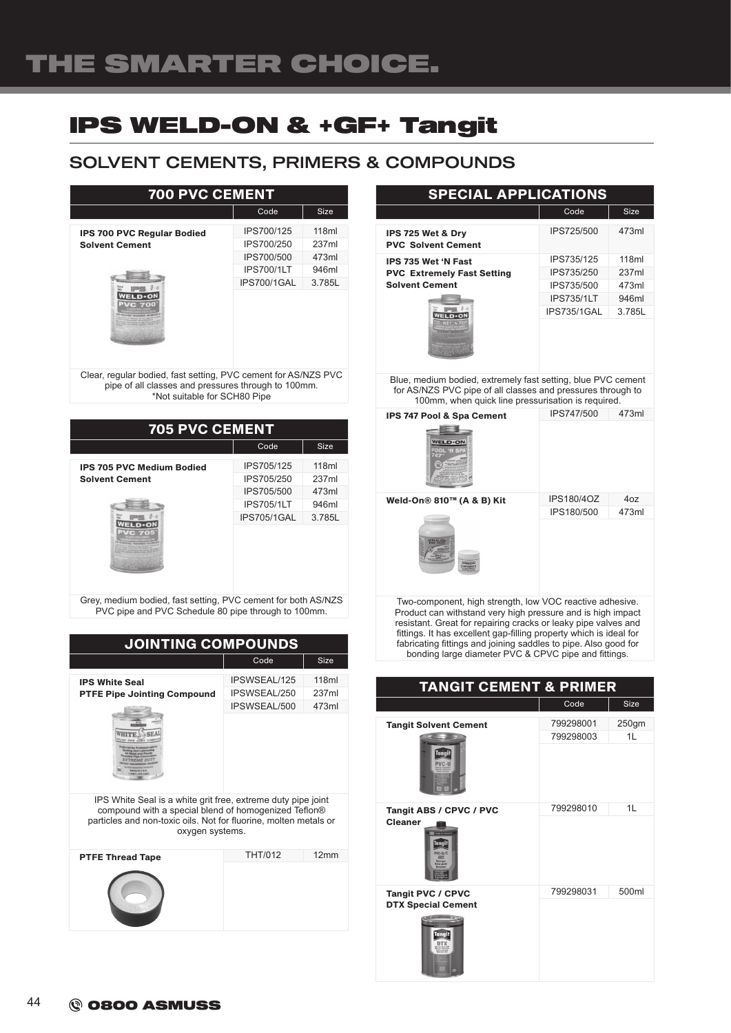# IPS WELD-ON & +GF+ Tangit

### SOLVENT CEMENTS, PRIMERS & COMPOUNDS

| <b>700 PVC CEMENT</b>                                                                                                                                 |                                                                            |                                            |
|-------------------------------------------------------------------------------------------------------------------------------------------------------|----------------------------------------------------------------------------|--------------------------------------------|
|                                                                                                                                                       | Code                                                                       | <b>Size</b>                                |
| <b>IPS 700 PVC Regular Bodied</b><br><b>Solvent Cement</b>                                                                                            | IPS700/125<br>IPS700/250<br>IPS700/500<br><b>IPS700/1LT</b><br>IPS700/1GAL | 118ml<br>237ml<br>473ml<br>946ml<br>3.785L |
| Clear, regular bodied, fast setting, PVC cement for AS/NZS PVC<br>pipe of all classes and pressures through to 100mm.<br>*Not suitable for SCH80 Pipe |                                                                            |                                            |

705 PVC CEMENT Code Size IPS705/125 118ml IPS 705 PVC Medium Bodied Solvent Cement IPS705/250 237ml IPS705/500 473ml IPS705/1LT 946ml IPS705/1GAL 3.785L **WELD**-ON

Grey, medium bodied, fast setting, PVC cement for both AS/NZS PVC pipe and PVC Schedule 80 pipe through to 100mm.

| <b>JOINTING COMPOUNDS</b>                                                                                                                                                                                                                |                |             |
|------------------------------------------------------------------------------------------------------------------------------------------------------------------------------------------------------------------------------------------|----------------|-------------|
|                                                                                                                                                                                                                                          | Code           | <b>Size</b> |
| <b>IPS White Seal</b>                                                                                                                                                                                                                    | IPSWSEAL/125   | 118ml       |
| <b>PTFE Pipe Jointing Compound</b>                                                                                                                                                                                                       | IPSWSEAL/250   | 237ml       |
|                                                                                                                                                                                                                                          | IPSWSEAL/500   | 473ml       |
| et Lubri<br><b>EAG DU</b><br>IPS White Seal is a white grit free, extreme duty pipe joint<br>compound with a special blend of homogenized Teflon®<br>particles and non-toxic oils. Not for fluorine, molten metals or<br>oxygen systems. |                |             |
| <b>PTFE Thread Tape</b>                                                                                                                                                                                                                  | <b>THT/012</b> | 12mm        |
|                                                                                                                                                                                                                                          |                |             |
|                                                                                                                                                                                                                                          |                |             |

#### SPECIAL APPLICATIONS Code Size IPS725/500 473ml IPS 725 Wet & Dry PVC Solvent Cement IPS 735 Wet 'N Fast IPS735/125 118ml PVC Extremely Fast Setting IPS735/250 237ml Solvent Cement IPS735/500 473ml IPS735/1LT 946ml IPS735/1GAL 3.785L WELD-ON Blue, medium bodied, extremely fast setting, blue PVC cement for AS/NZS PVC pipe of all classes and pressures through to 100mm, when quick line pressurisation is required. IPS 747 Pool & Spa Cement IPS747/500 473ml  $-1$ **WELD** ON Weld-On® 810™ (A & B) Kit IPS180/4OZ 4oz IPS180/500 473ml Two-component, high strength, low VOC reactive adhesive. Product can withstand very high pressure and is high impact resistant. Great for repairing cracks or leaky pipe valves and

fittings. It has excellent gap-filling property which is ideal for fabricating fittings and joining saddles to pipe. Also good for bonding large diameter PVC & CPVC pipe and fittings.

| <b>TANGIT CEMENT &amp; PRIMER</b>                               |                        |             |
|-----------------------------------------------------------------|------------------------|-------------|
|                                                                 | Code                   | <b>Size</b> |
| <b>Tangit Solvent Cement</b><br>Tanai<br>PVC-U                  | 799298001<br>799298003 | 250gm<br>1L |
| Tangit ABS / CPVC / PVC<br><b>Cleaner</b><br>lanai              | 799298010              | 1L          |
| <b>Tangit PVC / CPVC</b><br><b>DTX Special Cement</b><br>Tanait | 799298031              | 500ml       |